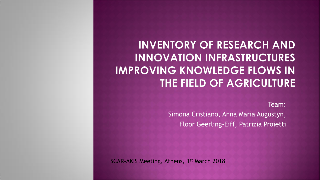### **INVENTORY OF RESEARCH AND INNOVATION INFRASTRUCTURES IMPROVING KNOWLEDGE FLOWS IN** THE FIELD OF AGRICULTURE

Team:

Simona Cristiano, Anna Maria Augustyn, Floor Geerling-Eiff, Patrizia Proietti

SCAR-AKIS Meeting, Athens, 1st March 2018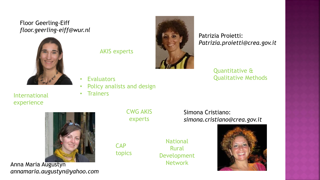#### Floor Geerling-Eiff *floor.geerling-eiff@wur.nl*



AKIS experts

Policy analists and design

**Evaluators** 

**Trainers** 



Patrizia Proietti: *Patrizia.proietti@crea.gov.it*

#### Quantitative & Qualitative Methods

International

experience



Anna Maria Augustyn *annamaria.augustyn@yahoo.com* CWG AKIS experts

CAP topics

National Rural Development Network

Simona Cristiano:

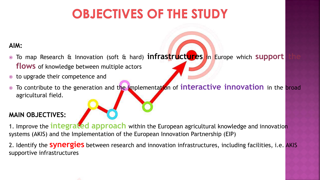## **OBJECTIVES OF THE STUDY**

### **AIM:**

- To map Research & Innovation (soft & hard) **infrastructures** in Europe which **support the flows** of knowledge between multiple actors
- to upgrade their competence and
- To contribute to the generation and the implementation of **interactive innovation** in the broad agricultural field.

#### **MAIN OBJECTIVES:**

1. Improve the **integrated approach** within the European agricultural knowledge and innovation systems (AKIS) and the Implementation of the European Innovation Partnership (EIP)

2. Identify the **synergies** between research and innovation infrastructures, including facilities, i.e. AKIS supportive infrastructures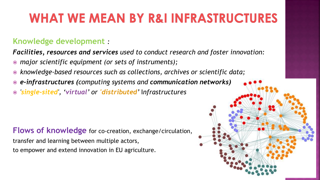## **WHAT WE MEAN BY R&I INFRASTRUCTURES**

### **Knowledge development** *:*

*Facilities, resources and services used to conduct research and foster innovation:*

- *major scientific equipment (or sets of instruments);*
- *knowledge-based resources such as collections, archives or scientific data;*
- *e-infrastructures (computing systems and communication networks)*
- *'single-sited', 'virtual' or 'distributed'* I*nfrastructures*

**Flows of knowledge** for co-creation, exchange/circulation, transfer and learning between multiple actors, to empower and extend innovation in EU agriculture.

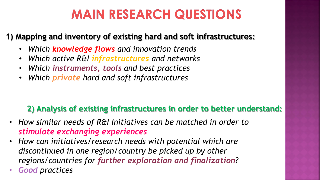### **MAIN RESEARCH QUESTIONS**

### **1) Mapping and inventory of existing hard and soft infrastructures:**

- *Which knowledge flows and innovation trends*
- *Which active R&I infrastructures and networks*
- *Which instruments, tools and best practices*
- *Which private hard and soft infrastructures*

### **2) Analysis of existing infrastructures in order to better understand:**

- *How similar needs of R&I Initiatives can be matched in order to stimulate exchanging experiences*
- *How can initiatives/research needs with potential which are discontinued in one region/country be picked up by other regions/countries for further exploration and finalization?*
- *Good practices*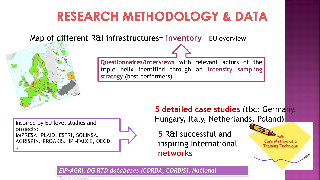## **RESEARCH METHODOLOGY & DATA**

Map of different R&I infrastructures= **inventory** = EU overview



Inspired by EU level studies and projects: IMPRESA, PLAID, ESFRI, SOLINSA, AGRISPIN, PROAKIS, JPI-FACCE, OECD,

…

**5 detailed case studies** (tbc: Germany, Hungary, Italy, Netherlands, Poland)

**5** R&I successful and inspiring International **networks**



Case Method as a **Training Technique** 

*EIP-AGRI, DG RTD databases (CORDA, CORDIS), National Databases …..*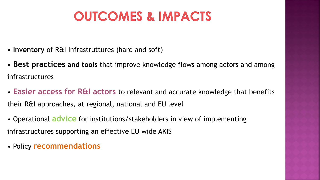### **OUTCOMES & IMPACTS**

- **Inventory** of R&I Infrastruttures (hard and soft)
- **Best practices and tools** that improve knowledge flows among actors and among infrastructures
- **Easier access for R&I actors** to relevant and accurate knowledge that benefits their R&I approaches, at regional, national and EU level
- Operational **advice** for institutions/stakeholders in view of implementing infrastructures supporting an effective EU wide AKIS
- Policy **recommendations**